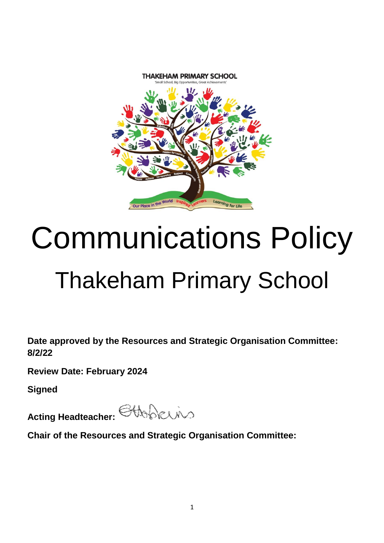

# Communications Policy Thakeham Primary School

**Date approved by the Resources and Strategic Organisation Committee: 8/2/22**

**Review Date: February 2024**

**Signed**

**Acting Headteacher:** CHAACUNO

**Chair of the Resources and Strategic Organisation Committee:**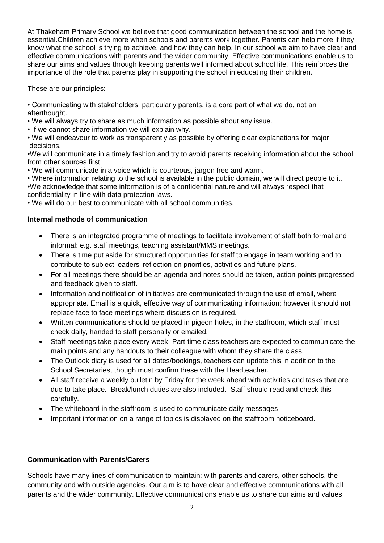At Thakeham Primary School we believe that good communication between the school and the home is essential.Children achieve more when schools and parents work together. Parents can help more if they know what the school is trying to achieve, and how they can help. In our school we aim to have clear and effective communications with parents and the wider community. Effective communications enable us to share our aims and values through keeping parents well informed about school life. This reinforces the importance of the role that parents play in supporting the school in educating their children.

These are our principles:

• Communicating with stakeholders, particularly parents, is a core part of what we do, not an afterthought.

- We will always try to share as much information as possible about any issue.
- If we cannot share information we will explain why.

• We will endeavour to work as transparently as possible by offering clear explanations for major decisions.

•We will communicate in a timely fashion and try to avoid parents receiving information about the school from other sources first.

• We will communicate in a voice which is courteous, jargon free and warm.

• Where information relating to the school is available in the public domain, we will direct people to it. •We acknowledge that some information is of a confidential nature and will always respect that confidentiality in line with data protection laws.

• We will do our best to communicate with all school communities.

#### **Internal methods of communication**

- There is an integrated programme of meetings to facilitate involvement of staff both formal and informal: e.g. staff meetings, teaching assistant/MMS meetings.
- There is time put aside for structured opportunities for staff to engage in team working and to contribute to subject leaders' reflection on priorities, activities and future plans.
- For all meetings there should be an agenda and notes should be taken, action points progressed and feedback given to staff.
- Information and notification of initiatives are communicated through the use of email, where appropriate. Email is a quick, effective way of communicating information; however it should not replace face to face meetings where discussion is required.
- Written communications should be placed in pigeon holes, in the staffroom, which staff must check daily, handed to staff personally or emailed.
- Staff meetings take place every week. Part-time class teachers are expected to communicate the main points and any handouts to their colleague with whom they share the class.
- The Outlook diary is used for all dates/bookings, teachers can update this in addition to the School Secretaries, though must confirm these with the Headteacher.
- All staff receive a weekly bulletin by Friday for the week ahead with activities and tasks that are due to take place. Break/lunch duties are also included. Staff should read and check this carefully.
- The whiteboard in the staffroom is used to communicate daily messages
- Important information on a range of topics is displayed on the staffroom noticeboard.

#### **Communication with Parents/Carers**

Schools have many lines of communication to maintain: with parents and carers, other schools, the community and with outside agencies. Our aim is to have clear and effective communications with all parents and the wider community. Effective communications enable us to share our aims and values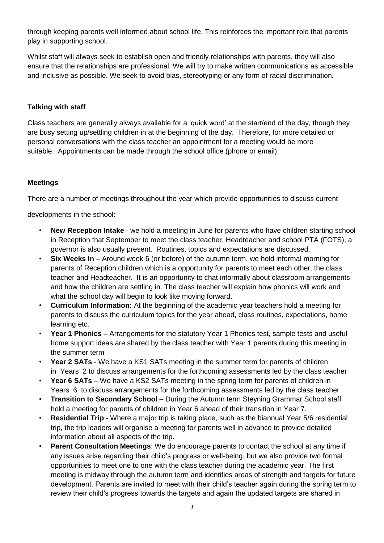through keeping parents well informed about school life. This reinforces the important role that parents play in supporting school.

Whilst staff will always seek to establish open and friendly relationships with parents, they will also ensure that the relationships are professional. We will try to make written communications as accessible and inclusive as possible. We seek to avoid bias, stereotyping or any form of racial discrimination.

#### **Talking with staff**

Class teachers are generally always available for a 'quick word' at the start/end of the day, though they are busy setting up/settling children in at the beginning of the day. Therefore, for more detailed or personal conversations with the class teacher an appointment for a meeting would be more suitable. Appointments can be made through the school office (phone or email).

# **Meetings**

There are a number of meetings throughout the year which provide opportunities to discuss current

developments in the school:

- **New Reception Intake** ‐ we hold a meeting in June for parents who have children starting school in Reception that September to meet the class teacher, Headteacher and school PTA (FOTS), a governor is also usually present. Routines, topics and expectations are discussed.
- **Six Weeks In** Around week 6 (or before) of the autumn term, we hold informal morning for parents of Reception children which is a opportunity for parents to meet each other, the class teacher and Headteacher. It is an opportunity to chat informally about classroom arrangements and how the children are settling in. The class teacher will explain how phonics will work and what the school day will begin to look like moving forward.
- **Curriculum Information:** At the beginning of the academic year teachers hold a meeting for parents to discuss the curriculum topics for the year ahead, class routines, expectations, home learning etc.
- **Year 1 Phonics –** Arrangements for the statutory Year 1 Phonics test, sample tests and useful home support ideas are shared by the class teacher with Year 1 parents during this meeting in the summer term
- Year 2 SATs We have a KS1 SATs meeting in the summer term for parents of children in Years 2 to discuss arrangements for the forthcoming assessments led by the class teacher
- **Year 6 SATs**  We have a KS2 SATs meeting in the spring term for parents of children in Years 6 to discuss arrangements for the forthcoming assessments led by the class teacher
- **Transition to Secondary School** During the Autumn term Steyning Grammar School staff hold a meeting for parents of children in Year 6 ahead of their transition in Year 7.
- **Residential Trip** Where a major trip is taking place, such as the biannual Year 5/6 residential trip, the trip leaders will organise a meeting for parents well in advance to provide detailed information about all aspects of the trip.
- **Parent Consultation Meetings**: We do encourage parents to contact the school at any time if any issues arise regarding their child's progress or well‐being, but we also provide two formal opportunities to meet one to one with the class teacher during the academic year. The first meeting is midway through the autumn term and identifies areas of strength and targets for future development. Parents are invited to meet with their child's teacher again during the spring term to review their child's progress towards the targets and again the updated targets are shared in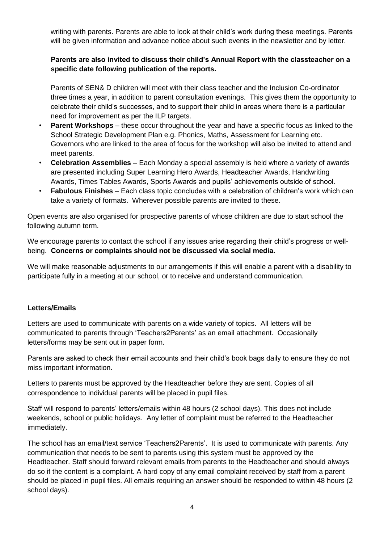writing with parents. Parents are able to look at their child's work during these meetings. Parents will be given information and advance notice about such events in the newsletter and by letter.

# **Parents are also invited to discuss their child's Annual Report with the classteacher on a specific date following publication of the reports.**

Parents of SEN& D children will meet with their class teacher and the Inclusion Co-ordinator three times a year, in addition to parent consultation evenings. This gives them the opportunity to celebrate their child's successes, and to support their child in areas where there is a particular need for improvement as per the ILP targets.

- **Parent Workshops** these occur throughout the year and have a specific focus as linked to the School Strategic Development Plan e.g. Phonics, Maths, Assessment for Learning etc. Governors who are linked to the area of focus for the workshop will also be invited to attend and meet parents.
- **Celebration Assemblies**  Each Monday a special assembly is held where a variety of awards are presented including Super Learning Hero Awards, Headteacher Awards, Handwriting Awards, Times Tables Awards, Sports Awards and pupils' achievements outside of school.
- **Fabulous Finishes**  Each class topic concludes with a celebration of children's work which can take a variety of formats. Wherever possible parents are invited to these.

Open events are also organised for prospective parents of whose children are due to start school the following autumn term.

We encourage parents to contact the school if any issues arise regarding their child's progress or wellbeing. **Concerns or complaints should not be discussed via social media**.

We will make reasonable adjustments to our arrangements if this will enable a parent with a disability to participate fully in a meeting at our school, or to receive and understand communication.

# **Letters/Emails**

Letters are used to communicate with parents on a wide variety of topics. All letters will be communicated to parents through 'Teachers2Parents' as an email attachment. Occasionally letters/forms may be sent out in paper form.

Parents are asked to check their email accounts and their child's book bags daily to ensure they do not miss important information.

Letters to parents must be approved by the Headteacher before they are sent. Copies of all correspondence to individual parents will be placed in pupil files.

Staff will respond to parents' letters/emails within 48 hours (2 school days). This does not include weekends, school or public holidays. Any letter of complaint must be referred to the Headteacher immediately.

The school has an email/text service 'Teachers2Parents'. It is used to communicate with parents. Any communication that needs to be sent to parents using this system must be approved by the Headteacher. Staff should forward relevant emails from parents to the Headteacher and should always do so if the content is a complaint. A hard copy of any email complaint received by staff from a parent should be placed in pupil files. All emails requiring an answer should be responded to within 48 hours (2 school days).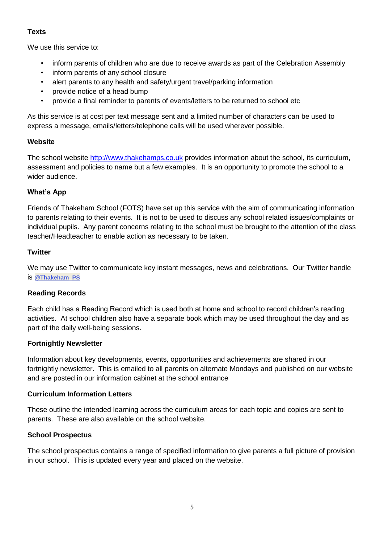# **Texts**

We use this service to:

- inform parents of children who are due to receive awards as part of the Celebration Assembly
- inform parents of any school closure
- alert parents to any health and safety/urgent travel/parking information
- provide notice of a head bump
- provide a final reminder to parents of events/letters to be returned to school etc

As this service is at cost per text message sent and a limited number of characters can be used to express a message, emails/letters/telephone calls will be used wherever possible.

# **Website**

The school website [http://www.thakehamps.co.uk](http://www.thakehamps.co.uk/) provides information about the school, its curriculum, assessment and policies to name but a few examples. It is an opportunity to promote the school to a wider audience.

# **What's App**

Friends of Thakeham School (FOTS) have set up this service with the aim of communicating information to parents relating to their events. It is not to be used to discuss any school related issues/complaints or individual pupils. Any parent concerns relating to the school must be brought to the attention of the class teacher/Headteacher to enable action as necessary to be taken.

#### **Twitter**

We may use Twitter to communicate key instant messages, news and celebrations. Our Twitter handle is **[@Thakeham\\_PS](https://twitter.com/Thakeham_PS)**

# **Reading Records**

Each child has a Reading Record which is used both at home and school to record children's reading activities. At school children also have a separate book which may be used throughout the day and as part of the daily well-being sessions.

# **Fortnightly Newsletter**

Information about key developments, events, opportunities and achievements are shared in our fortnightly newsletter. This is emailed to all parents on alternate Mondays and published on our website and are posted in our information cabinet at the school entrance

# **Curriculum Information Letters**

These outline the intended learning across the curriculum areas for each topic and copies are sent to parents. These are also available on the school website.

# **School Prospectus**

The school prospectus contains a range of specified information to give parents a full picture of provision in our school. This is updated every year and placed on the website.